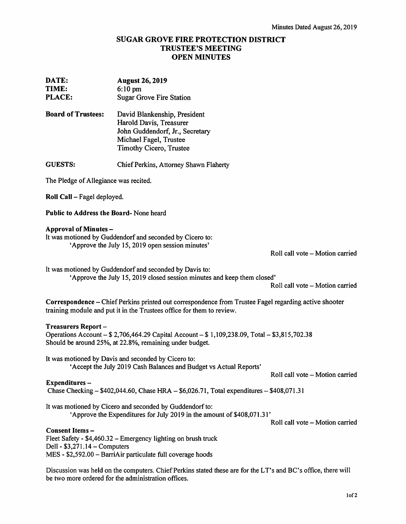# SUGAR GROVE FIRE PROTECTION DISTRICT TRUSTEE'S MEETING OPEN MINUTES

| DATE:<br>TIME:<br><b>PLACE:</b>                                                                                                                                      | <b>August 26, 2019</b><br>$6:10$ pm<br><b>Sugar Grove Fire Station</b>                                                                                                         |                                 |
|----------------------------------------------------------------------------------------------------------------------------------------------------------------------|--------------------------------------------------------------------------------------------------------------------------------------------------------------------------------|---------------------------------|
| <b>Board of Trustees:</b>                                                                                                                                            | David Blankenship, President<br>Harold Davis, Treasurer<br>John Guddendorf, Jr., Secretary<br>Michael Fagel, Trustee<br>Timothy Cicero, Trustee                                |                                 |
| <b>GUESTS:</b>                                                                                                                                                       | Chief Perkins, Attorney Shawn Flaherty                                                                                                                                         |                                 |
| The Pledge of Allegiance was recited.                                                                                                                                |                                                                                                                                                                                |                                 |
| Roll Call - Fagel deployed.                                                                                                                                          |                                                                                                                                                                                |                                 |
| Public to Address the Board-None heard                                                                                                                               |                                                                                                                                                                                |                                 |
| <b>Approval of Minutes -</b>                                                                                                                                         | It was motioned by Guddendorf and seconded by Cicero to:<br>'Approve the July 15, 2019 open session minutes'                                                                   | Roll call vote - Motion carried |
|                                                                                                                                                                      | It was motioned by Guddendorf and seconded by Davis to:<br>'Approve the July 15, 2019 closed session minutes and keep them closed'                                             | Roll call vote - Motion carried |
|                                                                                                                                                                      | Correspondence - Chief Perkins printed out correspondence from Trustee Fagel regarding active shooter<br>training module and put it in the Trustees office for them to review. |                                 |
| <b>Treasurers Report-</b>                                                                                                                                            | Operations Account - \$2,706,464.29 Capital Account - \$1,109,238.09, Total - \$3,815,702.38<br>Should be around 25%, at 22.8%, remaining under budget.                        |                                 |
|                                                                                                                                                                      | It was motioned by Davis and seconded by Cicero to:<br>'Accept the July 2019 Cash Balances and Budget vs Actual Reports'                                                       | Roll call vote - Motion carried |
| Expenditures-<br>Chase Checking $-$ \$402,044.60, Chase HRA $-$ \$6,026.71, Total expenditures $-$ \$408,071.31                                                      |                                                                                                                                                                                |                                 |
|                                                                                                                                                                      | It was motioned by Cicero and seconded by Guddendorf to:<br>'Approve the Expenditures for July 2019 in the amount of \$408,071.31'                                             | Roll call vote - Motion carried |
| Consent Items-<br>Dell - $$3,271.14$ - Computers                                                                                                                     | Fleet Safety - \$4,460.32 – Emergency lighting on brush truck<br>MES - \$2,592.00 - BarriAir particulate full coverage hoods                                                   |                                 |
| Discussion was held on the computers. Chief Perkins stated these are for the LT's and BC's office, there will<br>be two more ordered for the administration offices. |                                                                                                                                                                                |                                 |